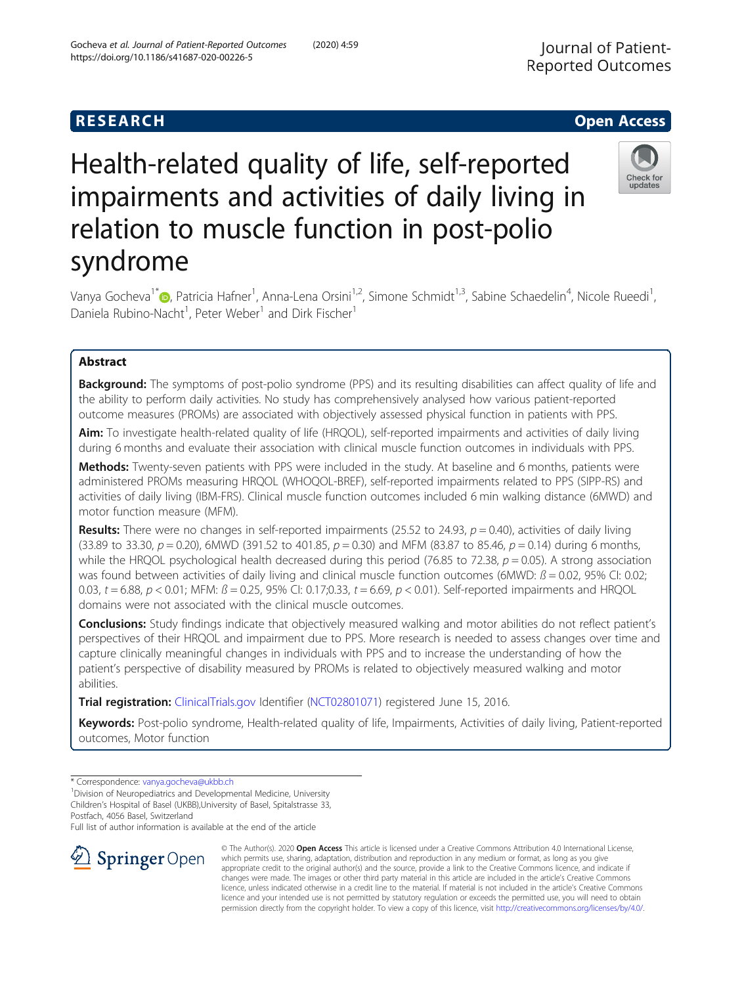# **RESEARCH CHE Open Access**

# Journal of Patient-Reported Outcomes

# Check for undates

# Health-related quality of life, self-reported impairments and activities of daily living in relation to muscle function in post-polio syndrome

Vanya Gocheva<sup>1\*</sup>®[,](http://orcid.org/0000-0003-0929-2532) Patricia Hafner<sup>1</sup>, Anna-Lena Orsini<sup>1,2</sup>, Simone Schmidt<sup>1,3</sup>, Sabine Schaedelin<sup>4</sup>, Nicole Rueedi<sup>1</sup> , Daniela Rubino-Nacht<sup>1</sup>, Peter Weber<sup>1</sup> and Dirk Fischer<sup>1</sup>

## Abstract

**Background:** The symptoms of post-polio syndrome (PPS) and its resulting disabilities can affect quality of life and the ability to perform daily activities. No study has comprehensively analysed how various patient-reported outcome measures (PROMs) are associated with objectively assessed physical function in patients with PPS.

Aim: To investigate health-related quality of life (HRQOL), self-reported impairments and activities of daily living during 6 months and evaluate their association with clinical muscle function outcomes in individuals with PPS.

Methods: Twenty-seven patients with PPS were included in the study. At baseline and 6 months, patients were administered PROMs measuring HRQOL (WHOQOL-BREF), self-reported impairments related to PPS (SIPP-RS) and activities of daily living (IBM-FRS). Clinical muscle function outcomes included 6 min walking distance (6MWD) and motor function measure (MFM).

**Results:** There were no changes in self-reported impairments (25.52 to 24.93,  $p = 0.40$ ), activities of daily living (33.89 to 33.30,  $p = 0.20$ ), 6MWD (391.52 to 401.85,  $p = 0.30$ ) and MFM (83.87 to 85.46,  $p = 0.14$ ) during 6 months, while the HRQOL psychological health decreased during this period (76.85 to 72.38,  $p = 0.05$ ). A strong association was found between activities of daily living and clinical muscle function outcomes (6MWD:  $B = 0.02$ , 95% CI: 0.02; 0.03,  $t = 6.88$ ,  $p < 0.01$ ; MFM:  $\beta = 0.25$ , 95% CI: 0.17;0.33,  $t = 6.69$ ,  $p < 0.01$ ). Self-reported impairments and HRQOL domains were not associated with the clinical muscle outcomes.

Conclusions: Study findings indicate that objectively measured walking and motor abilities do not reflect patient's perspectives of their HRQOL and impairment due to PPS. More research is needed to assess changes over time and capture clinically meaningful changes in individuals with PPS and to increase the understanding of how the patient's perspective of disability measured by PROMs is related to objectively measured walking and motor abilities.

Trial registration: [ClinicalTrials.gov](http://clinicaltrials.gov) Identifier [\(NCT02801071](https://clinicaltrials.gov/ct2/show/NCT02801071)) registered June 15, 2016.

Keywords: Post-polio syndrome, Health-related quality of life, Impairments, Activities of daily living, Patient-reported outcomes, Motor function

<sup>1</sup> Division of Neuropediatrics and Developmental Medicine, University Children's Hospital of Basel (UKBB),University of Basel, Spitalstrasse 33, Postfach, 4056 Basel, Switzerland

Full list of author information is available at the end of the article



© The Author(s). 2020 Open Access This article is licensed under a Creative Commons Attribution 4.0 International License, which permits use, sharing, adaptation, distribution and reproduction in any medium or format, as long as you give appropriate credit to the original author(s) and the source, provide a link to the Creative Commons licence, and indicate if changes were made. The images or other third party material in this article are included in the article's Creative Commons licence, unless indicated otherwise in a credit line to the material. If material is not included in the article's Creative Commons licence and your intended use is not permitted by statutory regulation or exceeds the permitted use, you will need to obtain permission directly from the copyright holder. To view a copy of this licence, visit <http://creativecommons.org/licenses/by/4.0/>.

<sup>\*</sup> Correspondence: [vanya.gocheva@ukbb.ch](mailto:vanya.gocheva@ukbb.ch) <sup>1</sup>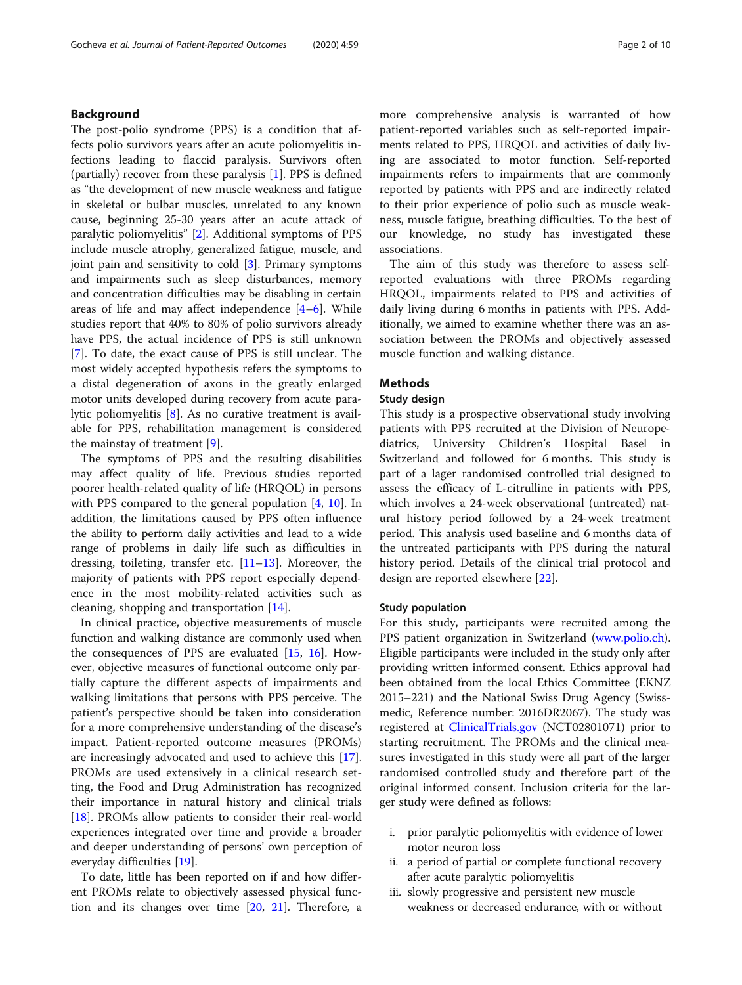#### Background

The post-polio syndrome (PPS) is a condition that affects polio survivors years after an acute poliomyelitis infections leading to flaccid paralysis. Survivors often (partially) recover from these paralysis [\[1](#page-8-0)]. PPS is defined as "the development of new muscle weakness and fatigue in skeletal or bulbar muscles, unrelated to any known cause, beginning 25-30 years after an acute attack of paralytic poliomyelitis" [\[2](#page-8-0)]. Additional symptoms of PPS include muscle atrophy, generalized fatigue, muscle, and joint pain and sensitivity to cold [[3\]](#page-8-0). Primary symptoms and impairments such as sleep disturbances, memory and concentration difficulties may be disabling in certain areas of life and may affect independence  $[4-6]$  $[4-6]$  $[4-6]$  $[4-6]$  $[4-6]$ . While studies report that 40% to 80% of polio survivors already have PPS, the actual incidence of PPS is still unknown [[7\]](#page-8-0). To date, the exact cause of PPS is still unclear. The most widely accepted hypothesis refers the symptoms to a distal degeneration of axons in the greatly enlarged motor units developed during recovery from acute paralytic poliomyelitis [\[8](#page-8-0)]. As no curative treatment is available for PPS, rehabilitation management is considered the mainstay of treatment [[9\]](#page-8-0).

The symptoms of PPS and the resulting disabilities may affect quality of life. Previous studies reported poorer health-related quality of life (HRQOL) in persons with PPS compared to the general population [[4,](#page-8-0) [10](#page-8-0)]. In addition, the limitations caused by PPS often influence the ability to perform daily activities and lead to a wide range of problems in daily life such as difficulties in dressing, toileting, transfer etc.  $[11-13]$  $[11-13]$  $[11-13]$ . Moreover, the majority of patients with PPS report especially dependence in the most mobility-related activities such as cleaning, shopping and transportation [\[14](#page-8-0)].

In clinical practice, objective measurements of muscle function and walking distance are commonly used when the consequences of PPS are evaluated  $[15, 16]$  $[15, 16]$  $[15, 16]$  $[15, 16]$ . However, objective measures of functional outcome only partially capture the different aspects of impairments and walking limitations that persons with PPS perceive. The patient's perspective should be taken into consideration for a more comprehensive understanding of the disease's impact. Patient-reported outcome measures (PROMs) are increasingly advocated and used to achieve this [\[17](#page-8-0)]. PROMs are used extensively in a clinical research setting, the Food and Drug Administration has recognized their importance in natural history and clinical trials [[18\]](#page-8-0). PROMs allow patients to consider their real-world experiences integrated over time and provide a broader and deeper understanding of persons' own perception of everyday difficulties [\[19](#page-8-0)].

To date, little has been reported on if and how different PROMs relate to objectively assessed physical function and its changes over time [[20,](#page-8-0) [21\]](#page-8-0). Therefore, a more comprehensive analysis is warranted of how patient-reported variables such as self-reported impairments related to PPS, HRQOL and activities of daily living are associated to motor function. Self-reported impairments refers to impairments that are commonly reported by patients with PPS and are indirectly related to their prior experience of polio such as muscle weakness, muscle fatigue, breathing difficulties. To the best of our knowledge, no study has investigated these associations.

The aim of this study was therefore to assess selfreported evaluations with three PROMs regarding HRQOL, impairments related to PPS and activities of daily living during 6 months in patients with PPS. Additionally, we aimed to examine whether there was an association between the PROMs and objectively assessed muscle function and walking distance.

#### Methods

#### Study design

This study is a prospective observational study involving patients with PPS recruited at the Division of Neuropediatrics, University Children's Hospital Basel in Switzerland and followed for 6 months. This study is part of a lager randomised controlled trial designed to assess the efficacy of L-citrulline in patients with PPS, which involves a 24-week observational (untreated) natural history period followed by a 24-week treatment period. This analysis used baseline and 6 months data of the untreated participants with PPS during the natural history period. Details of the clinical trial protocol and design are reported elsewhere [[22\]](#page-8-0).

#### Study population

For this study, participants were recruited among the PPS patient organization in Switzerland [\(www.polio.ch](http://www.polio.ch)). Eligible participants were included in the study only after providing written informed consent. Ethics approval had been obtained from the local Ethics Committee (EKNZ 2015–221) and the National Swiss Drug Agency (Swissmedic, Reference number: 2016DR2067). The study was registered at [ClinicalTrials.gov](http://clinicaltrials.gov) (NCT02801071) prior to starting recruitment. The PROMs and the clinical measures investigated in this study were all part of the larger randomised controlled study and therefore part of the original informed consent. Inclusion criteria for the larger study were defined as follows:

- i. prior paralytic poliomyelitis with evidence of lower motor neuron loss
- ii. a period of partial or complete functional recovery after acute paralytic poliomyelitis
- iii. slowly progressive and persistent new muscle weakness or decreased endurance, with or without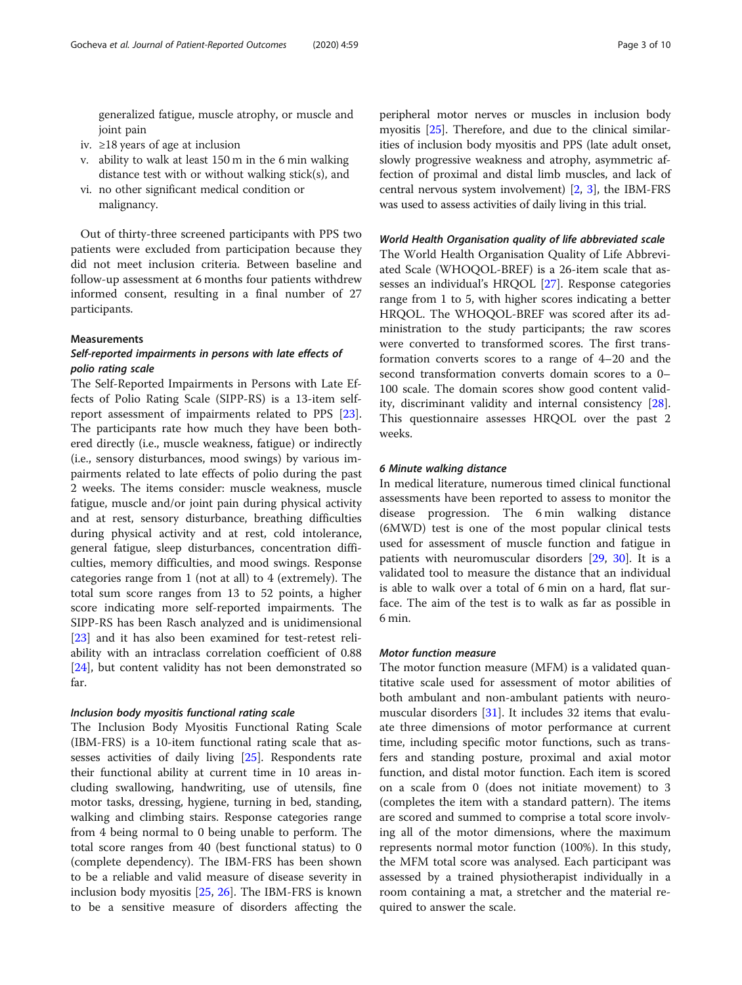generalized fatigue, muscle atrophy, or muscle and joint pain

- iv. ≥18 years of age at inclusion
- v. ability to walk at least 150 m in the 6 min walking distance test with or without walking stick(s), and
- vi. no other significant medical condition or malignancy.

Out of thirty-three screened participants with PPS two patients were excluded from participation because they did not meet inclusion criteria. Between baseline and follow-up assessment at 6 months four patients withdrew informed consent, resulting in a final number of 27 participants.

#### Measurements

#### Self-reported impairments in persons with late effects of polio rating scale

The Self-Reported Impairments in Persons with Late Effects of Polio Rating Scale (SIPP-RS) is a 13-item selfreport assessment of impairments related to PPS [\[23](#page-8-0)]. The participants rate how much they have been bothered directly (i.e., muscle weakness, fatigue) or indirectly (i.e., sensory disturbances, mood swings) by various impairments related to late effects of polio during the past 2 weeks. The items consider: muscle weakness, muscle fatigue, muscle and/or joint pain during physical activity and at rest, sensory disturbance, breathing difficulties during physical activity and at rest, cold intolerance, general fatigue, sleep disturbances, concentration difficulties, memory difficulties, and mood swings. Response categories range from 1 (not at all) to 4 (extremely). The total sum score ranges from 13 to 52 points, a higher score indicating more self-reported impairments. The SIPP-RS has been Rasch analyzed and is unidimensional [[23\]](#page-8-0) and it has also been examined for test-retest reliability with an intraclass correlation coefficient of 0.88 [[24\]](#page-8-0), but content validity has not been demonstrated so far.

#### Inclusion body myositis functional rating scale

The Inclusion Body Myositis Functional Rating Scale (IBM-FRS) is a 10-item functional rating scale that assesses activities of daily living [[25](#page-8-0)]. Respondents rate their functional ability at current time in 10 areas including swallowing, handwriting, use of utensils, fine motor tasks, dressing, hygiene, turning in bed, standing, walking and climbing stairs. Response categories range from 4 being normal to 0 being unable to perform. The total score ranges from 40 (best functional status) to 0 (complete dependency). The IBM-FRS has been shown to be a reliable and valid measure of disease severity in inclusion body myositis [[25,](#page-8-0) [26\]](#page-8-0). The IBM-FRS is known to be a sensitive measure of disorders affecting the peripheral motor nerves or muscles in inclusion body myositis [[25](#page-8-0)]. Therefore, and due to the clinical similarities of inclusion body myositis and PPS (late adult onset, slowly progressive weakness and atrophy, asymmetric affection of proximal and distal limb muscles, and lack of central nervous system involvement) [[2,](#page-8-0) [3](#page-8-0)], the IBM-FRS was used to assess activities of daily living in this trial.

#### World Health Organisation quality of life abbreviated scale

The World Health Organisation Quality of Life Abbreviated Scale (WHOQOL-BREF) is a 26-item scale that assesses an individual's HRQOL [\[27\]](#page-8-0). Response categories range from 1 to 5, with higher scores indicating a better HRQOL. The WHOQOL-BREF was scored after its administration to the study participants; the raw scores were converted to transformed scores. The first transformation converts scores to a range of 4–20 and the second transformation converts domain scores to a 0– 100 scale. The domain scores show good content validity, discriminant validity and internal consistency [\[28](#page-9-0)]. This questionnaire assesses HRQOL over the past 2 weeks.

#### 6 Minute walking distance

In medical literature, numerous timed clinical functional assessments have been reported to assess to monitor the disease progression. The 6 min walking distance (6MWD) test is one of the most popular clinical tests used for assessment of muscle function and fatigue in patients with neuromuscular disorders [[29](#page-9-0), [30](#page-9-0)]. It is a validated tool to measure the distance that an individual is able to walk over a total of 6 min on a hard, flat surface. The aim of the test is to walk as far as possible in 6 min.

#### Motor function measure

The motor function measure (MFM) is a validated quantitative scale used for assessment of motor abilities of both ambulant and non-ambulant patients with neuromuscular disorders [[31\]](#page-9-0). It includes 32 items that evaluate three dimensions of motor performance at current time, including specific motor functions, such as transfers and standing posture, proximal and axial motor function, and distal motor function. Each item is scored on a scale from 0 (does not initiate movement) to 3 (completes the item with a standard pattern). The items are scored and summed to comprise a total score involving all of the motor dimensions, where the maximum represents normal motor function (100%). In this study, the MFM total score was analysed. Each participant was assessed by a trained physiotherapist individually in a room containing a mat, a stretcher and the material required to answer the scale.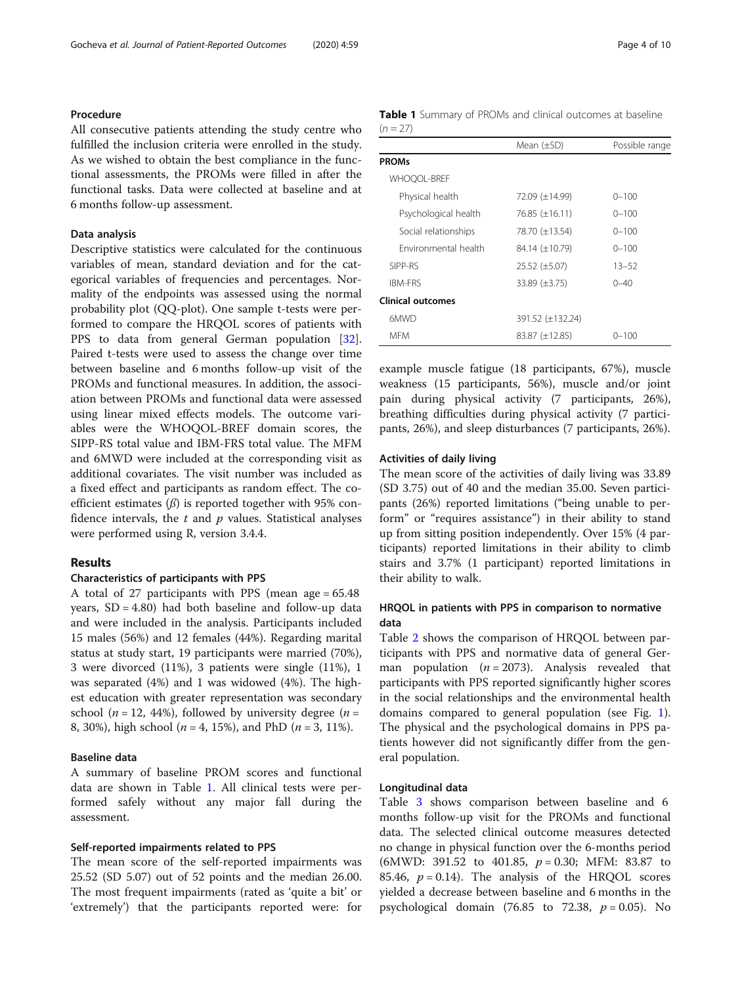#### Procedure

All consecutive patients attending the study centre who fulfilled the inclusion criteria were enrolled in the study. As we wished to obtain the best compliance in the functional assessments, the PROMs were filled in after the functional tasks. Data were collected at baseline and at 6 months follow-up assessment.

#### Data analysis

Descriptive statistics were calculated for the continuous variables of mean, standard deviation and for the categorical variables of frequencies and percentages. Normality of the endpoints was assessed using the normal probability plot (QQ-plot). One sample t-tests were performed to compare the HRQOL scores of patients with PPS to data from general German population [\[32](#page-9-0)]. Paired t-tests were used to assess the change over time between baseline and 6 months follow-up visit of the PROMs and functional measures. In addition, the association between PROMs and functional data were assessed using linear mixed effects models. The outcome variables were the WHOQOL-BREF domain scores, the SIPP-RS total value and IBM-FRS total value. The MFM and 6MWD were included at the corresponding visit as additional covariates. The visit number was included as a fixed effect and participants as random effect. The coefficient estimates  $(\beta)$  is reported together with 95% confidence intervals, the  $t$  and  $p$  values. Statistical analyses were performed using R, version 3.4.4.

### Results

#### Characteristics of participants with PPS

A total of 27 participants with PPS (mean age = 65.48 years,  $SD = 4.80$ ) had both baseline and follow-up data and were included in the analysis. Participants included 15 males (56%) and 12 females (44%). Regarding marital status at study start, 19 participants were married (70%), 3 were divorced (11%), 3 patients were single (11%), 1 was separated (4%) and 1 was widowed (4%). The highest education with greater representation was secondary school ( $n = 12, 44\%$ ), followed by university degree ( $n =$ 8, 30%), high school ( $n = 4$ , 15%), and PhD ( $n = 3$ , 11%).

#### Baseline data

A summary of baseline PROM scores and functional data are shown in Table 1. All clinical tests were performed safely without any major fall during the assessment.

#### Self-reported impairments related to PPS

The mean score of the self-reported impairments was 25.52 (SD 5.07) out of 52 points and the median 26.00. The most frequent impairments (rated as 'quite a bit' or 'extremely') that the participants reported were: for

|            |  |  | <b>Table 1</b> Summary of PROMs and clinical outcomes at baseline |  |
|------------|--|--|-------------------------------------------------------------------|--|
| $(n = 27)$ |  |  |                                                                   |  |

|                          | Mean $(\pm SD)$      | Possible range |
|--------------------------|----------------------|----------------|
| <b>PROMs</b>             |                      |                |
| <b>WHOOOL-BREF</b>       |                      |                |
| Physical health          | 72.09 (±14.99)       | $0 - 100$      |
| Psychological health     | 76.85 (±16.11)       | $0 - 100$      |
| Social relationships     | 78.70 (±13.54)       | $0 - 100$      |
| Environmental health     | 84.14 (±10.79)       | $0 - 100$      |
| SIPP-RS                  | $25.52 \ (\pm 5.07)$ | $13 - 52$      |
| <b>IBM-FRS</b>           | $33.89 \ (\pm 3.75)$ | $0 - 40$       |
| <b>Clinical outcomes</b> |                      |                |
| 6MWD                     | 391.52 (±132.24)     |                |
| <b>MFM</b>               | $83.87 (\pm 12.85)$  | $0 - 100$      |

example muscle fatigue (18 participants, 67%), muscle weakness (15 participants, 56%), muscle and/or joint pain during physical activity (7 participants, 26%), breathing difficulties during physical activity (7 participants, 26%), and sleep disturbances (7 participants, 26%).

#### Activities of daily living

The mean score of the activities of daily living was 33.89 (SD 3.75) out of 40 and the median 35.00. Seven participants (26%) reported limitations ("being unable to perform" or "requires assistance") in their ability to stand up from sitting position independently. Over 15% (4 participants) reported limitations in their ability to climb stairs and 3.7% (1 participant) reported limitations in their ability to walk.

#### HRQOL in patients with PPS in comparison to normative data

Table [2](#page-4-0) shows the comparison of HRQOL between participants with PPS and normative data of general German population  $(n = 2073)$ . Analysis revealed that participants with PPS reported significantly higher scores in the social relationships and the environmental health domains compared to general population (see Fig. [1](#page-4-0)). The physical and the psychological domains in PPS patients however did not significantly differ from the general population.

#### Longitudinal data

Table [3](#page-5-0) shows comparison between baseline and 6 months follow-up visit for the PROMs and functional data. The selected clinical outcome measures detected no change in physical function over the 6-months period (6MWD: 391.52 to 401.85,  $p = 0.30$ ; MFM: 83.87 to 85.46,  $p = 0.14$ ). The analysis of the HRQOL scores yielded a decrease between baseline and 6 months in the psychological domain (76.85 to 72.38,  $p = 0.05$ ). No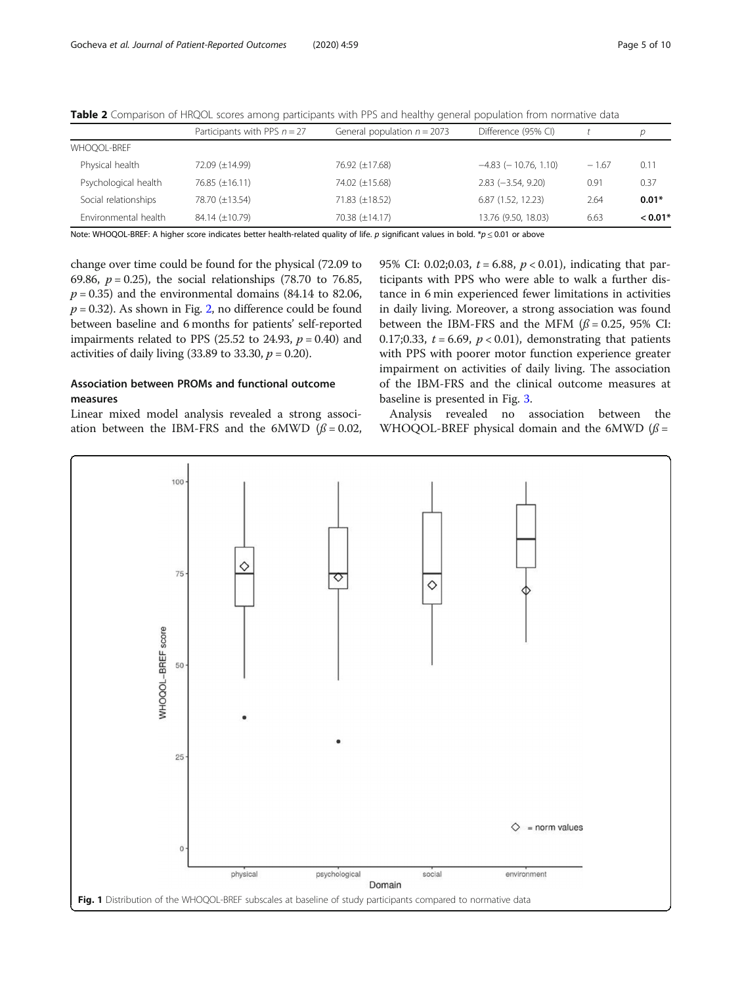|                      | Participants with PPS $n = 27$ | General population $n = 2073$                                                                                      | Difference (95% CI)        |         |           |
|----------------------|--------------------------------|--------------------------------------------------------------------------------------------------------------------|----------------------------|---------|-----------|
| <b>WHOOOL-BREF</b>   |                                |                                                                                                                    |                            |         |           |
| Physical health      | 72.09 (±14.99)                 | 76.92 (±17.68)                                                                                                     | $-4.83$ ( $-10.76$ , 1.10) | $-1.67$ | 0.11      |
| Psychological health | 76.85 $(\pm 16.11)$            | 74.02 (±15.68)                                                                                                     | $2.83 (-3.54, 9.20)$       | 0.91    | 0.37      |
| Social relationships | 78.70 (±13.54)                 | 71.83 (±18.52)                                                                                                     | 6.87 (1.52, 12.23)         | 2.64    | $0.01*$   |
| Environmental health | $84.14 \ (\pm 10.79)$          | $70.38 (\pm 14.17)$                                                                                                | 13.76 (9.50, 18.03)        | 6.63    | $< 0.01*$ |
|                      | .                              | $\mathbf{a}$ and $\mathbf{a}$ and $\mathbf{a}$ and $\mathbf{a}$ and $\mathbf{a}$ and $\mathbf{a}$ and $\mathbf{a}$ |                            |         |           |

<span id="page-4-0"></span>Table 2 Comparison of HRQOL scores among participants with PPS and healthy general population from normative data

Note: WHOQOL-BREF: A higher score indicates better health-related quality of life. p significant values in bold. \*p  $\leq$  0.01 or above

change over time could be found for the physical (72.09 to 69.86,  $p = 0.25$ ), the social relationships (78.70 to 76.85,  $p = 0.35$ ) and the environmental domains (84.14 to 82.06,  $p = 0.32$  $p = 0.32$ ). As shown in Fig. 2, no difference could be found between baseline and 6 months for patients' self-reported impairments related to PPS (25.52 to 24.93,  $p = 0.40$ ) and activities of daily living  $(33.89 \text{ to } 33.30, p = 0.20)$ .

### Association between PROMs and functional outcome measures

Linear mixed model analysis revealed a strong association between the IBM-FRS and the 6MWD ( $\beta$  = 0.02, 95% CI: 0.02;0.03,  $t = 6.88$ ,  $p < 0.01$ ), indicating that participants with PPS who were able to walk a further distance in 6 min experienced fewer limitations in activities in daily living. Moreover, a strong association was found between the IBM-FRS and the MFM ( $\beta$  = 0.25, 95% CI: 0.17;0.33,  $t = 6.69$ ,  $p < 0.01$ ), demonstrating that patients with PPS with poorer motor function experience greater impairment on activities of daily living. The association of the IBM-FRS and the clinical outcome measures at baseline is presented in Fig. [3](#page-6-0).

Analysis revealed no association between the WHOQOL-BREF physical domain and the 6MWD ( $\beta$  =

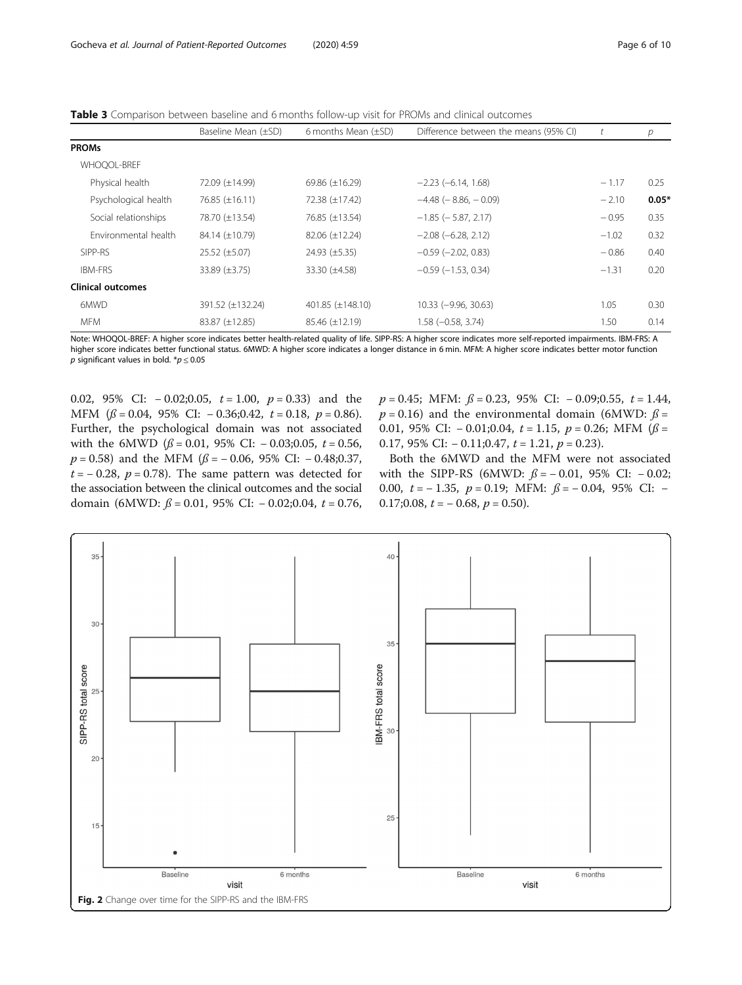<span id="page-5-0"></span>**Table 3** Comparison between baseline and 6 months follow-up visit for PROMs and clinical outcomes

|                          | Baseline Mean (±SD)  | 6 months Mean $(\pm SD)$ | Difference between the means (95% CI) |         | р       |
|--------------------------|----------------------|--------------------------|---------------------------------------|---------|---------|
| <b>PROMs</b>             |                      |                          |                                       |         |         |
| <b>WHOOOL-BREF</b>       |                      |                          |                                       |         |         |
| Physical health          | 72.09 (±14.99)       | 69.86 $(\pm 16.29)$      | $-2.23$ ( $-6.14$ , 1.68)             | $-1.17$ | 0.25    |
| Psychological health     | 76.85 (±16.11)       | 72.38 (±17.42)           | $-4.48$ ( $-8.86$ , $-0.09$ )         | $-2.10$ | $0.05*$ |
| Social relationships     | 78.70 (±13.54)       | 76.85 (±13.54)           | $-1.85$ ( $-5.87$ , 2.17)             | $-0.95$ | 0.35    |
| Environmental health     | 84.14 (±10.79)       | $82.06 (\pm 12.24)$      | $-2.08$ ( $-6.28$ , 2.12)             | $-1.02$ | 0.32    |
| SIPP-RS                  | $25.52 \ (\pm 5.07)$ | $24.93 \ (\pm 5.35)$     | $-0.59$ $(-2.02, 0.83)$               | $-0.86$ | 0.40    |
| IBM-FRS                  | 33.89 $(\pm 3.75)$   | 33.30 (±4.58)            | $-0.59$ $(-1.53, 0.34)$               | $-1.31$ | 0.20    |
| <b>Clinical outcomes</b> |                      |                          |                                       |         |         |
| 6MWD                     | 391.52 (±132.24)     | 401.85 (±148.10)         | $10.33 (-9.96, 30.63)$                | 1.05    | 0.30    |
| <b>MFM</b>               | 83.87 (±12.85)       | $85.46 \ (\pm 12.19)$    | $1.58 (-0.58, 3.74)$                  | 1.50    | 0.14    |

Note: WHOQOL-BREF: A higher score indicates better health-related quality of life. SIPP-RS: A higher score indicates more self-reported impairments. IBM-FRS: A higher score indicates better functional status. 6MWD: A higher score indicates a longer distance in 6 min. MFM: A higher score indicates better motor function p significant values in bold.  $p \leq 0.05$ 

0.02, 95% CI:  $-0.02; 0.05$ ,  $t = 1.00$ ,  $p = 0.33$ ) and the MFM  $(\beta = 0.04, 95\% \text{ CI: } -0.36; 0.42, t = 0.18, p = 0.86).$ Further, the psychological domain was not associated with the 6MWD ( $\beta$  = 0.01, 95% CI: - 0.03;0.05,  $t = 0.56$ ,  $p = 0.58$ ) and the MFM ( $\beta = -0.06$ , 95% CI: -0.48;0.37,  $t = -0.28$ ,  $p = 0.78$ ). The same pattern was detected for the association between the clinical outcomes and the social domain (6MWD:  $\beta$  = 0.01, 95% CI: - 0.02;0.04, t = 0.76,  $p = 0.45$ ; MFM:  $\beta = 0.23$ , 95% CI: -0.09;0.55,  $t = 1.44$ ,  $p = 0.16$ ) and the environmental domain (6MWD:  $\beta =$ 0.01, 95% CI:  $-$ 0.01;0.04,  $t = 1.15$ ,  $p = 0.26$ ; MFM ( $\beta =$ 0.17, 95% CI:  $-$  0.11;0.47,  $t = 1.21$ ,  $p = 0.23$ ).

Both the 6MWD and the MFM were not associated with the SIPP-RS (6MWD:  $\beta = -0.01$ , 95% CI:  $-0.02$ ; 0.00,  $t = -1.35$ ,  $p = 0.19$ ; MFM:  $\beta = -0.04$ , 95% CI: − 0.17;0.08,  $t = -0.68$ ,  $p = 0.50$ ).

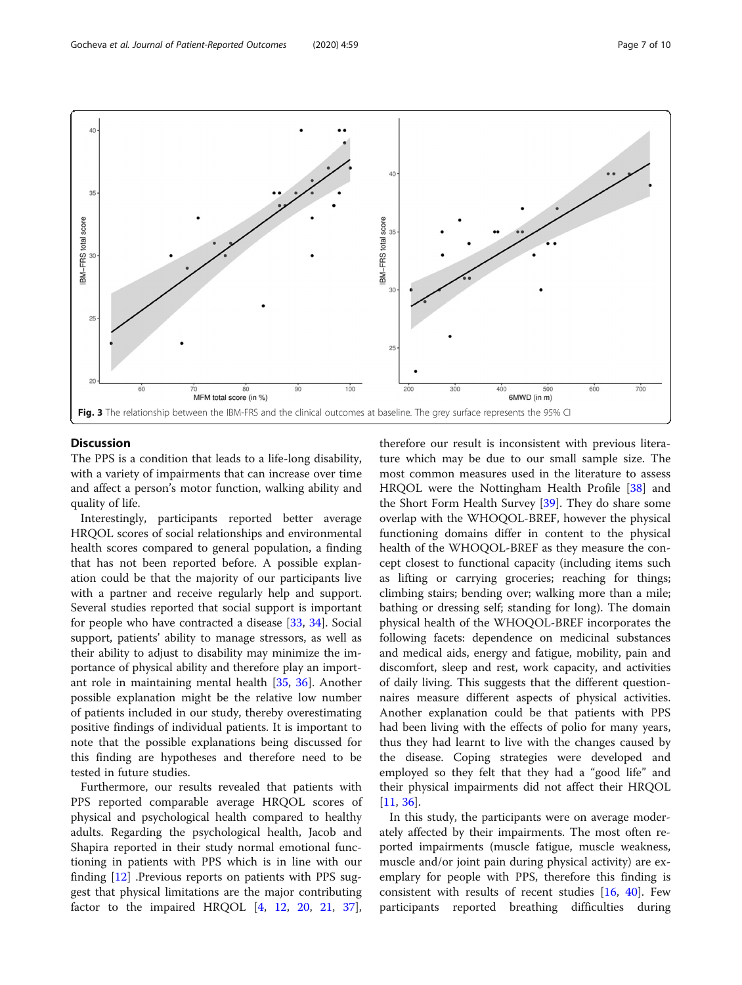<span id="page-6-0"></span>

#### **Discussion**

The PPS is a condition that leads to a life-long disability, with a variety of impairments that can increase over time and affect a person's motor function, walking ability and quality of life.

Interestingly, participants reported better average HRQOL scores of social relationships and environmental health scores compared to general population, a finding that has not been reported before. A possible explanation could be that the majority of our participants live with a partner and receive regularly help and support. Several studies reported that social support is important for people who have contracted a disease [[33,](#page-9-0) [34](#page-9-0)]. Social support, patients' ability to manage stressors, as well as their ability to adjust to disability may minimize the importance of physical ability and therefore play an important role in maintaining mental health [[35,](#page-9-0) [36](#page-9-0)]. Another possible explanation might be the relative low number of patients included in our study, thereby overestimating positive findings of individual patients. It is important to note that the possible explanations being discussed for this finding are hypotheses and therefore need to be tested in future studies.

Furthermore, our results revealed that patients with PPS reported comparable average HRQOL scores of physical and psychological health compared to healthy adults. Regarding the psychological health, Jacob and Shapira reported in their study normal emotional functioning in patients with PPS which is in line with our finding [\[12](#page-8-0)] .Previous reports on patients with PPS suggest that physical limitations are the major contributing factor to the impaired HRQOL  $[4, 12, 20, 21, 37]$  $[4, 12, 20, 21, 37]$  $[4, 12, 20, 21, 37]$  $[4, 12, 20, 21, 37]$  $[4, 12, 20, 21, 37]$  $[4, 12, 20, 21, 37]$  $[4, 12, 20, 21, 37]$  $[4, 12, 20, 21, 37]$  $[4, 12, 20, 21, 37]$  $[4, 12, 20, 21, 37]$ ,

therefore our result is inconsistent with previous literature which may be due to our small sample size. The most common measures used in the literature to assess HRQOL were the Nottingham Health Profile [[38\]](#page-9-0) and the Short Form Health Survey [\[39](#page-9-0)]. They do share some overlap with the WHOQOL-BREF, however the physical functioning domains differ in content to the physical health of the WHOQOL-BREF as they measure the concept closest to functional capacity (including items such as lifting or carrying groceries; reaching for things; climbing stairs; bending over; walking more than a mile; bathing or dressing self; standing for long). The domain physical health of the WHOQOL-BREF incorporates the following facets: dependence on medicinal substances and medical aids, energy and fatigue, mobility, pain and discomfort, sleep and rest, work capacity, and activities of daily living. This suggests that the different questionnaires measure different aspects of physical activities. Another explanation could be that patients with PPS had been living with the effects of polio for many years, thus they had learnt to live with the changes caused by the disease. Coping strategies were developed and employed so they felt that they had a "good life" and their physical impairments did not affect their HRQOL [[11,](#page-8-0) [36\]](#page-9-0).

In this study, the participants were on average moderately affected by their impairments. The most often reported impairments (muscle fatigue, muscle weakness, muscle and/or joint pain during physical activity) are exemplary for people with PPS, therefore this finding is consistent with results of recent studies  $[16, 40]$  $[16, 40]$  $[16, 40]$ . Few participants reported breathing difficulties during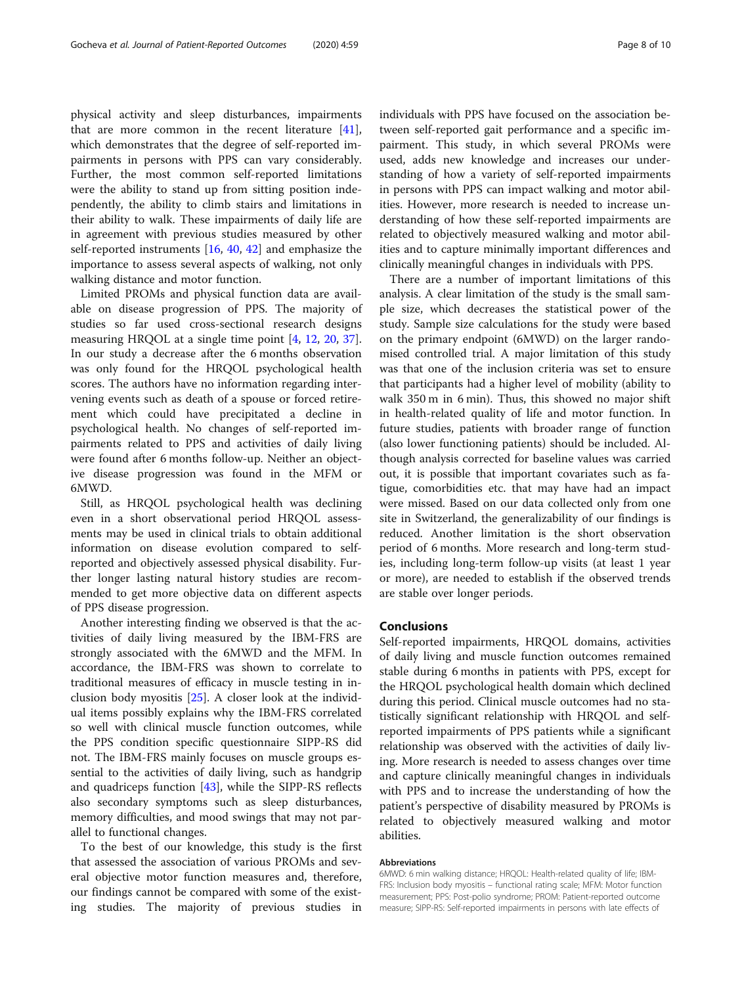physical activity and sleep disturbances, impairments that are more common in the recent literature [\[41](#page-9-0)], which demonstrates that the degree of self-reported impairments in persons with PPS can vary considerably. Further, the most common self-reported limitations were the ability to stand up from sitting position independently, the ability to climb stairs and limitations in their ability to walk. These impairments of daily life are in agreement with previous studies measured by other self-reported instruments [\[16,](#page-8-0) [40](#page-9-0), [42](#page-9-0)] and emphasize the importance to assess several aspects of walking, not only walking distance and motor function.

Limited PROMs and physical function data are available on disease progression of PPS. The majority of studies so far used cross-sectional research designs measuring HRQOL at a single time point [[4,](#page-8-0) [12,](#page-8-0) [20](#page-8-0), [37](#page-9-0)]. In our study a decrease after the 6 months observation was only found for the HRQOL psychological health scores. The authors have no information regarding intervening events such as death of a spouse or forced retirement which could have precipitated a decline in psychological health. No changes of self-reported impairments related to PPS and activities of daily living were found after 6 months follow-up. Neither an objective disease progression was found in the MFM or 6MWD.

Still, as HRQOL psychological health was declining even in a short observational period HRQOL assessments may be used in clinical trials to obtain additional information on disease evolution compared to selfreported and objectively assessed physical disability. Further longer lasting natural history studies are recommended to get more objective data on different aspects of PPS disease progression.

Another interesting finding we observed is that the activities of daily living measured by the IBM-FRS are strongly associated with the 6MWD and the MFM. In accordance, the IBM-FRS was shown to correlate to traditional measures of efficacy in muscle testing in inclusion body myositis [\[25\]](#page-8-0). A closer look at the individual items possibly explains why the IBM-FRS correlated so well with clinical muscle function outcomes, while the PPS condition specific questionnaire SIPP-RS did not. The IBM-FRS mainly focuses on muscle groups essential to the activities of daily living, such as handgrip and quadriceps function [[43\]](#page-9-0), while the SIPP-RS reflects also secondary symptoms such as sleep disturbances, memory difficulties, and mood swings that may not parallel to functional changes.

To the best of our knowledge, this study is the first that assessed the association of various PROMs and several objective motor function measures and, therefore, our findings cannot be compared with some of the existing studies. The majority of previous studies in individuals with PPS have focused on the association between self-reported gait performance and a specific impairment. This study, in which several PROMs were used, adds new knowledge and increases our understanding of how a variety of self-reported impairments in persons with PPS can impact walking and motor abilities. However, more research is needed to increase understanding of how these self-reported impairments are related to objectively measured walking and motor abilities and to capture minimally important differences and clinically meaningful changes in individuals with PPS.

There are a number of important limitations of this analysis. A clear limitation of the study is the small sample size, which decreases the statistical power of the study. Sample size calculations for the study were based on the primary endpoint (6MWD) on the larger randomised controlled trial. A major limitation of this study was that one of the inclusion criteria was set to ensure that participants had a higher level of mobility (ability to walk 350 m in 6 min). Thus, this showed no major shift in health-related quality of life and motor function. In future studies, patients with broader range of function (also lower functioning patients) should be included. Although analysis corrected for baseline values was carried out, it is possible that important covariates such as fatigue, comorbidities etc. that may have had an impact were missed. Based on our data collected only from one site in Switzerland, the generalizability of our findings is reduced. Another limitation is the short observation period of 6 months. More research and long-term studies, including long-term follow-up visits (at least 1 year or more), are needed to establish if the observed trends are stable over longer periods.

#### Conclusions

Self-reported impairments, HRQOL domains, activities of daily living and muscle function outcomes remained stable during 6 months in patients with PPS, except for the HRQOL psychological health domain which declined during this period. Clinical muscle outcomes had no statistically significant relationship with HRQOL and selfreported impairments of PPS patients while a significant relationship was observed with the activities of daily living. More research is needed to assess changes over time and capture clinically meaningful changes in individuals with PPS and to increase the understanding of how the patient's perspective of disability measured by PROMs is related to objectively measured walking and motor abilities.

#### Abbreviations

6MWD: 6 min walking distance; HRQOL: Health-related quality of life; IBM-FRS: Inclusion body myositis – functional rating scale; MFM: Motor function measurement; PPS: Post-polio syndrome; PROM: Patient-reported outcome measure; SIPP-RS: Self-reported impairments in persons with late effects of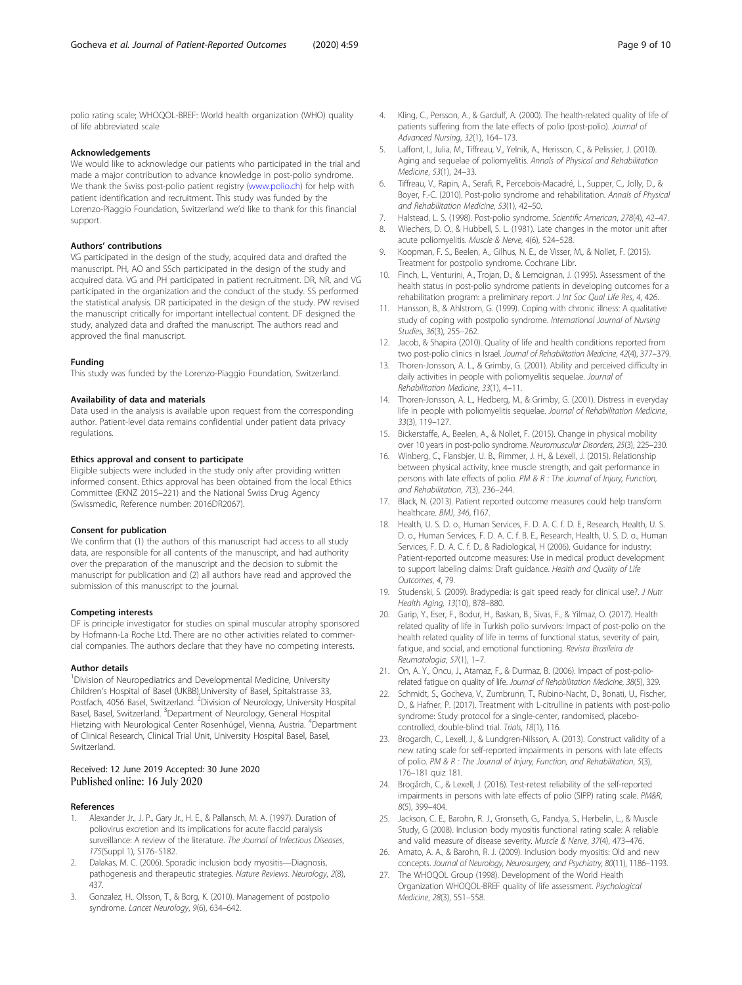<span id="page-8-0"></span>polio rating scale; WHOQOL-BREF: World health organization (WHO) quality of life abbreviated scale

#### Acknowledgements

We would like to acknowledge our patients who participated in the trial and made a major contribution to advance knowledge in post-polio syndrome. We thank the Swiss post-polio patient registry ([www.polio.ch](http://www.polio.ch)) for help with patient identification and recruitment. This study was funded by the Lorenzo-Piaggio Foundation, Switzerland we'd like to thank for this financial support.

#### Authors' contributions

VG participated in the design of the study, acquired data and drafted the manuscript. PH, AO and SSch participated in the design of the study and acquired data. VG and PH participated in patient recruitment. DR, NR, and VG participated in the organization and the conduct of the study. SS performed the statistical analysis. DR participated in the design of the study. PW revised the manuscript critically for important intellectual content. DF designed the study, analyzed data and drafted the manuscript. The authors read and approved the final manuscript.

#### Funding

This study was funded by the Lorenzo-Piaggio Foundation, Switzerland.

#### Availability of data and materials

Data used in the analysis is available upon request from the corresponding author. Patient-level data remains confidential under patient data privacy regulations.

#### Ethics approval and consent to participate

Eligible subjects were included in the study only after providing written informed consent. Ethics approval has been obtained from the local Ethics Committee (EKNZ 2015–221) and the National Swiss Drug Agency (Swissmedic, Reference number: 2016DR2067).

#### Consent for publication

We confirm that (1) the authors of this manuscript had access to all study data, are responsible for all contents of the manuscript, and had authority over the preparation of the manuscript and the decision to submit the manuscript for publication and (2) all authors have read and approved the submission of this manuscript to the journal.

#### Competing interests

DF is principle investigator for studies on spinal muscular atrophy sponsored by Hofmann-La Roche Ltd. There are no other activities related to commercial companies. The authors declare that they have no competing interests.

#### Author details

<sup>1</sup> Division of Neuropediatrics and Developmental Medicine, University Children's Hospital of Basel (UKBB),University of Basel, Spitalstrasse 33, Postfach, 4056 Basel, Switzerland. <sup>2</sup>Division of Neurology, University Hospital Basel, Basel, Switzerland. <sup>3</sup>Department of Neurology, General Hospital Hietzing with Neurological Center Rosenhügel, Vienna, Austria. <sup>4</sup>Department of Clinical Research, Clinical Trial Unit, University Hospital Basel, Basel, Switzerland.

#### Received: 12 June 2019 Accepted: 30 June 2020 Published online: 16 July 2020

#### References

- 1. Alexander Jr., J. P., Gary Jr., H. E., & Pallansch, M. A. (1997). Duration of poliovirus excretion and its implications for acute flaccid paralysis surveillance: A review of the literature. The Journal of Infectious Diseases, 175(Suppl 1), S176–S182.
- 2. Dalakas, M. C. (2006). Sporadic inclusion body myositis—Diagnosis, pathogenesis and therapeutic strategies. Nature Reviews. Neurology, 2(8), 437.
- Gonzalez, H., Olsson, T., & Borg, K. (2010). Management of postpolio syndrome. Lancet Neurology, 9(6), 634–642.
- 4. Kling, C., Persson, A., & Gardulf, A. (2000). The health-related quality of life of patients suffering from the late effects of polio (post-polio). Journal of Advanced Nursing, 32(1), 164–173.
- 5. Laffont, I., Julia, M., Tiffreau, V., Yelnik, A., Herisson, C., & Pelissier, J. (2010). Aging and sequelae of poliomyelitis. Annals of Physical and Rehabilitation Medicine, 53(1), 24–33.
- 6. Tiffreau, V., Rapin, A., Serafi, R., Percebois-Macadré, L., Supper, C., Jolly, D., & Boyer, F.-C. (2010). Post-polio syndrome and rehabilitation. Annals of Physical and Rehabilitation Medicine, 53(1), 42–50.
- 7. Halstead, L. S. (1998). Post-polio syndrome. Scientific American, 278(4), 42–47.
- 8. Wiechers, D. O., & Hubbell, S. L. (1981). Late changes in the motor unit after acute poliomyelitis. Muscle & Nerve, 4(6), 524–528.
- 9. Koopman, F. S., Beelen, A., Gilhus, N. E., de Visser, M., & Nollet, F. (2015). Treatment for postpolio syndrome. Cochrane Libr.
- 10. Finch, L., Venturini, A., Trojan, D., & Lemoignan, J. (1995). Assessment of the health status in post-polio syndrome patients in developing outcomes for a rehabilitation program: a preliminary report. J Int Soc Qual Life Res, 4, 426.
- 11. Hansson, B., & Ahlstrom, G. (1999). Coping with chronic illness: A qualitative study of coping with postpolio syndrome. International Journal of Nursing Studies, 36(3), 255–262.
- 12. Jacob, & Shapira (2010). Quality of life and health conditions reported from two post-polio clinics in Israel. Journal of Rehabilitation Medicine, 42(4), 377–379.
- 13. Thoren-Jonsson, A. L., & Grimby, G. (2001). Ability and perceived difficulty in daily activities in people with poliomyelitis sequelae. Journal of Rehabilitation Medicine, 33(1), 4–11.
- 14. Thoren-Jonsson, A. L., Hedberg, M., & Grimby, G. (2001). Distress in everyday life in people with poliomyelitis sequelae. Journal of Rehabilitation Medicine, 33(3), 119–127.
- 15. Bickerstaffe, A., Beelen, A., & Nollet, F. (2015). Change in physical mobility over 10 years in post-polio syndrome. Neuromuscular Disorders, 25(3), 225–230.
- 16. Winberg, C., Flansbjer, U. B., Rimmer, J. H., & Lexell, J. (2015). Relationship between physical activity, knee muscle strength, and gait performance in persons with late effects of polio. PM & R : The Journal of Injury, Function, and Rehabilitation, 7(3), 236–244.
- 17. Black, N. (2013). Patient reported outcome measures could help transform healthcare. BMJ, 346, f167.
- 18. Health, U. S. D. o., Human Services, F. D. A. C. f. D. E., Research, Health, U. S. D. o., Human Services, F. D. A. C. f. B. E., Research, Health, U. S. D. o., Human Services, F. D. A. C. f. D., & Radiological, H (2006). Guidance for industry: Patient-reported outcome measures: Use in medical product development to support labeling claims: Draft guidance. Health and Quality of Life Outcomes, 4, 79.
- 19. Studenski, S. (2009). Bradypedia: is gait speed ready for clinical use?. J Nutr Health Aging, 13(10), 878–880.
- 20. Garip, Y., Eser, F., Bodur, H., Baskan, B., Sivas, F., & Yilmaz, O. (2017). Health related quality of life in Turkish polio survivors: Impact of post-polio on the health related quality of life in terms of functional status, severity of pain, fatigue, and social, and emotional functioning. Revista Brasileira de Reumatologia, 57(1), 1–7.
- 21. On, A. Y., Oncu, J., Atamaz, F., & Durmaz, B. (2006). Impact of post-poliorelated fatigue on quality of life. Journal of Rehabilitation Medicine, 38(5), 329.
- 22. Schmidt, S., Gocheva, V., Zumbrunn, T., Rubino-Nacht, D., Bonati, U., Fischer, D., & Hafner, P. (2017). Treatment with L-citrulline in patients with post-polio syndrome: Study protocol for a single-center, randomised, placebocontrolled, double-blind trial. Trials, 18(1), 116.
- 23. Brogardh, C., Lexell, J., & Lundgren-Nilsson, A. (2013). Construct validity of a new rating scale for self-reported impairments in persons with late effects of polio. PM & R : The Journal of Injury, Function, and Rehabilitation, 5(3), 176–181 quiz 181.
- 24. Brogårdh, C., & Lexell, J. (2016). Test-retest reliability of the self-reported impairments in persons with late effects of polio (SIPP) rating scale. PM&R, 8(5), 399–404.
- 25. Jackson, C. E., Barohn, R. J., Gronseth, G., Pandya, S., Herbelin, L., & Muscle Study, G (2008). Inclusion body myositis functional rating scale: A reliable and valid measure of disease severity. Muscle & Nerve, 37(4), 473–476.
- 26. Amato, A. A., & Barohn, R. J. (2009). Inclusion body myositis: Old and new concepts. Journal of Neurology, Neurosurgery, and Psychiatry, 80(11), 1186–1193.
- 27. The WHOQOL Group (1998). Development of the World Health Organization WHOQOL-BREF quality of life assessment. Psychological Medicine, 28(3), 551–558.